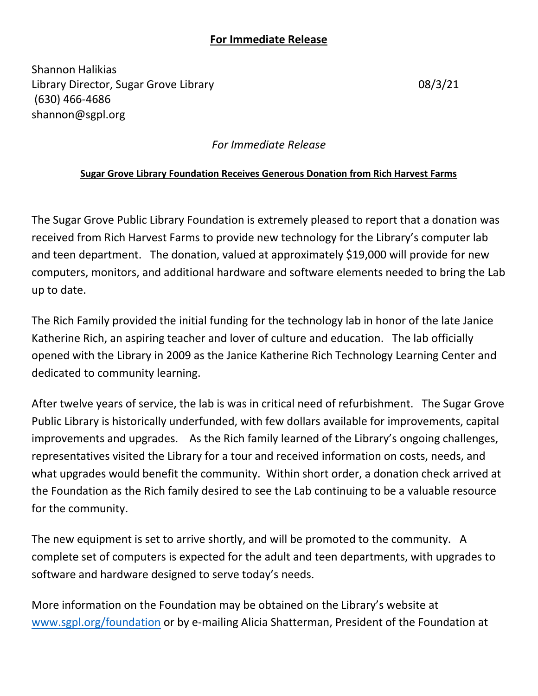## **For Immediate Release**

Shannon Halikias Library Director, Sugar Grove Library 08/3/21 (630) 466-4686 shannon@sgpl.org

## *For Immediate Release*

## **Sugar Grove Library Foundation Receives Generous Donation from Rich Harvest Farms**

The Sugar Grove Public Library Foundation is extremely pleased to report that a donation was received from Rich Harvest Farms to provide new technology for the Library's computer lab and teen department. The donation, valued at approximately \$19,000 will provide for new computers, monitors, and additional hardware and software elements needed to bring the Lab up to date.

The Rich Family provided the initial funding for the technology lab in honor of the late Janice Katherine Rich, an aspiring teacher and lover of culture and education. The lab officially opened with the Library in 2009 as the Janice Katherine Rich Technology Learning Center and dedicated to community learning.

After twelve years of service, the lab is was in critical need of refurbishment. The Sugar Grove Public Library is historically underfunded, with few dollars available for improvements, capital improvements and upgrades. As the Rich family learned of the Library's ongoing challenges, representatives visited the Library for a tour and received information on costs, needs, and what upgrades would benefit the community. Within short order, a donation check arrived at the Foundation as the Rich family desired to see the Lab continuing to be a valuable resource for the community.

The new equipment is set to arrive shortly, and will be promoted to the community. A complete set of computers is expected for the adult and teen departments, with upgrades to software and hardware designed to serve today's needs.

More information on the Foundation may be obtained on the Library's website at [www.sgpl.org/foundation](http://www.sgpl.org/foundation) or by e-mailing Alicia Shatterman, President of the Foundation at